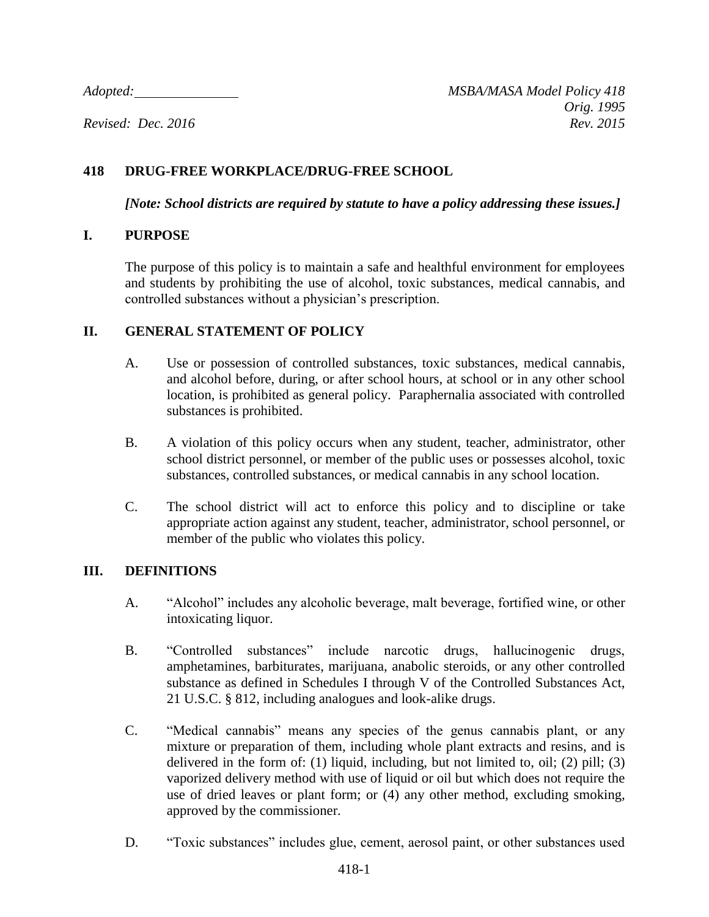## **418 DRUG-FREE WORKPLACE/DRUG-FREE SCHOOL**

*[Note: School districts are required by statute to have a policy addressing these issues.]*

#### **I. PURPOSE**

The purpose of this policy is to maintain a safe and healthful environment for employees and students by prohibiting the use of alcohol, toxic substances, medical cannabis, and controlled substances without a physician's prescription.

#### **II. GENERAL STATEMENT OF POLICY**

- A. Use or possession of controlled substances, toxic substances, medical cannabis, and alcohol before, during, or after school hours, at school or in any other school location, is prohibited as general policy. Paraphernalia associated with controlled substances is prohibited.
- B. A violation of this policy occurs when any student, teacher, administrator, other school district personnel, or member of the public uses or possesses alcohol, toxic substances, controlled substances, or medical cannabis in any school location.
- C. The school district will act to enforce this policy and to discipline or take appropriate action against any student, teacher, administrator, school personnel, or member of the public who violates this policy.

## **III. DEFINITIONS**

- A. "Alcohol" includes any alcoholic beverage, malt beverage, fortified wine, or other intoxicating liquor.
- B. "Controlled substances" include narcotic drugs, hallucinogenic drugs, amphetamines, barbiturates, marijuana, anabolic steroids, or any other controlled substance as defined in Schedules I through V of the Controlled Substances Act, 21 U.S.C. § 812, including analogues and look-alike drugs.
- C. "Medical cannabis" means any species of the genus cannabis plant, or any mixture or preparation of them, including whole plant extracts and resins, and is delivered in the form of: (1) liquid, including, but not limited to, oil; (2) pill; (3) vaporized delivery method with use of liquid or oil but which does not require the use of dried leaves or plant form; or (4) any other method, excluding smoking, approved by the commissioner.
- D. "Toxic substances" includes glue, cement, aerosol paint, or other substances used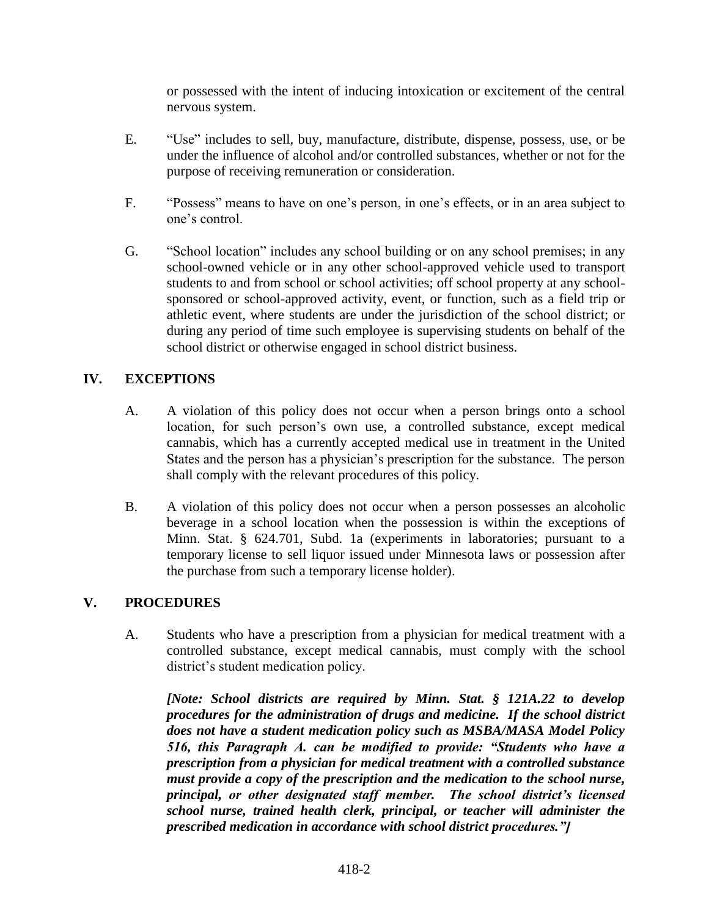or possessed with the intent of inducing intoxication or excitement of the central nervous system.

- E. "Use" includes to sell, buy, manufacture, distribute, dispense, possess, use, or be under the influence of alcohol and/or controlled substances, whether or not for the purpose of receiving remuneration or consideration.
- F. "Possess" means to have on one's person, in one's effects, or in an area subject to one's control.
- G. "School location" includes any school building or on any school premises; in any school-owned vehicle or in any other school-approved vehicle used to transport students to and from school or school activities; off school property at any schoolsponsored or school-approved activity, event, or function, such as a field trip or athletic event, where students are under the jurisdiction of the school district; or during any period of time such employee is supervising students on behalf of the school district or otherwise engaged in school district business.

# **IV. EXCEPTIONS**

- A. A violation of this policy does not occur when a person brings onto a school location, for such person's own use, a controlled substance, except medical cannabis, which has a currently accepted medical use in treatment in the United States and the person has a physician's prescription for the substance. The person shall comply with the relevant procedures of this policy.
- B. A violation of this policy does not occur when a person possesses an alcoholic beverage in a school location when the possession is within the exceptions of Minn. Stat. § 624.701, Subd. 1a (experiments in laboratories; pursuant to a temporary license to sell liquor issued under Minnesota laws or possession after the purchase from such a temporary license holder).

## **V. PROCEDURES**

A. Students who have a prescription from a physician for medical treatment with a controlled substance, except medical cannabis, must comply with the school district's student medication policy.

*[Note: School districts are required by Minn. Stat. § 121A.22 to develop procedures for the administration of drugs and medicine. If the school district does not have a student medication policy such as MSBA/MASA Model Policy 516, this Paragraph A. can be modified to provide: "Students who have a prescription from a physician for medical treatment with a controlled substance must provide a copy of the prescription and the medication to the school nurse, principal, or other designated staff member. The school district's licensed school nurse, trained health clerk, principal, or teacher will administer the prescribed medication in accordance with school district procedures."]*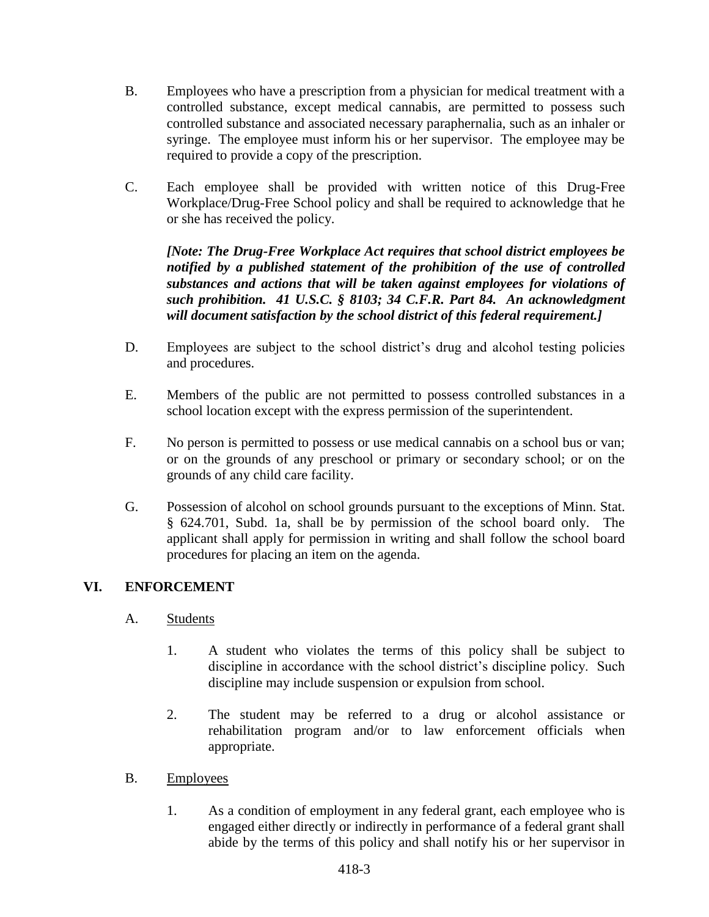- B. Employees who have a prescription from a physician for medical treatment with a controlled substance, except medical cannabis, are permitted to possess such controlled substance and associated necessary paraphernalia, such as an inhaler or syringe. The employee must inform his or her supervisor. The employee may be required to provide a copy of the prescription.
- C. Each employee shall be provided with written notice of this Drug-Free Workplace/Drug-Free School policy and shall be required to acknowledge that he or she has received the policy.

*[Note: The Drug-Free Workplace Act requires that school district employees be notified by a published statement of the prohibition of the use of controlled substances and actions that will be taken against employees for violations of such prohibition. 41 U.S.C. § 8103; 34 C.F.R. Part 84. An acknowledgment will document satisfaction by the school district of this federal requirement.]*

- D. Employees are subject to the school district's drug and alcohol testing policies and procedures.
- E. Members of the public are not permitted to possess controlled substances in a school location except with the express permission of the superintendent.
- F. No person is permitted to possess or use medical cannabis on a school bus or van; or on the grounds of any preschool or primary or secondary school; or on the grounds of any child care facility.
- G. Possession of alcohol on school grounds pursuant to the exceptions of Minn. Stat. § 624.701, Subd. 1a, shall be by permission of the school board only. The applicant shall apply for permission in writing and shall follow the school board procedures for placing an item on the agenda.

## **VI. ENFORCEMENT**

- A. Students
	- 1. A student who violates the terms of this policy shall be subject to discipline in accordance with the school district's discipline policy. Such discipline may include suspension or expulsion from school.
	- 2. The student may be referred to a drug or alcohol assistance or rehabilitation program and/or to law enforcement officials when appropriate.
- B. Employees
	- 1. As a condition of employment in any federal grant, each employee who is engaged either directly or indirectly in performance of a federal grant shall abide by the terms of this policy and shall notify his or her supervisor in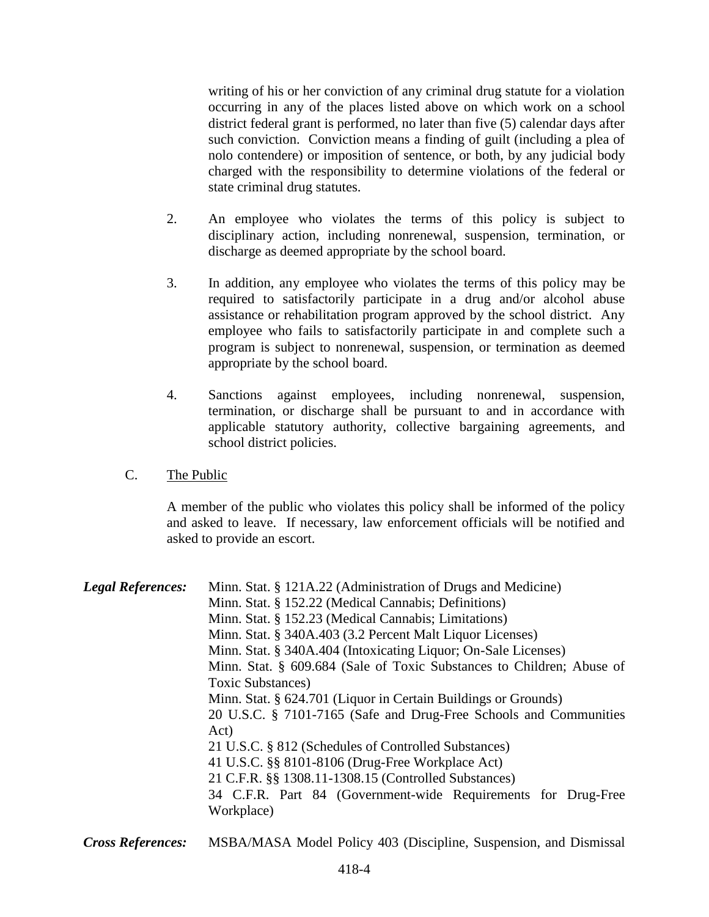writing of his or her conviction of any criminal drug statute for a violation occurring in any of the places listed above on which work on a school district federal grant is performed, no later than five (5) calendar days after such conviction. Conviction means a finding of guilt (including a plea of nolo contendere) or imposition of sentence, or both, by any judicial body charged with the responsibility to determine violations of the federal or state criminal drug statutes.

- 2. An employee who violates the terms of this policy is subject to disciplinary action, including nonrenewal, suspension, termination, or discharge as deemed appropriate by the school board.
- 3. In addition, any employee who violates the terms of this policy may be required to satisfactorily participate in a drug and/or alcohol abuse assistance or rehabilitation program approved by the school district. Any employee who fails to satisfactorily participate in and complete such a program is subject to nonrenewal, suspension, or termination as deemed appropriate by the school board.
- 4. Sanctions against employees, including nonrenewal, suspension, termination, or discharge shall be pursuant to and in accordance with applicable statutory authority, collective bargaining agreements, and school district policies.
- C. The Public

A member of the public who violates this policy shall be informed of the policy and asked to leave. If necessary, law enforcement officials will be notified and asked to provide an escort.

| <b>Legal References:</b> | Minn. Stat. § 121A.22 (Administration of Drugs and Medicine)<br>Minn. Stat. § 152.22 (Medical Cannabis; Definitions)<br>Minn. Stat. § 152.23 (Medical Cannabis; Limitations)<br>Minn. Stat. § 340A.403 (3.2 Percent Malt Liquor Licenses)<br>Minn. Stat. § 340A.404 (Intoxicating Liquor; On-Sale Licenses)<br>Minn. Stat. § 609.684 (Sale of Toxic Substances to Children; Abuse of<br>Toxic Substances)<br>Minn. Stat. § 624.701 (Liquor in Certain Buildings or Grounds)<br>20 U.S.C. § 7101-7165 (Safe and Drug-Free Schools and Communities<br>Act)<br>21 U.S.C. § 812 (Schedules of Controlled Substances)<br>41 U.S.C. §§ 8101-8106 (Drug-Free Workplace Act)<br>21 C.F.R. §§ 1308.11-1308.15 (Controlled Substances) |
|--------------------------|------------------------------------------------------------------------------------------------------------------------------------------------------------------------------------------------------------------------------------------------------------------------------------------------------------------------------------------------------------------------------------------------------------------------------------------------------------------------------------------------------------------------------------------------------------------------------------------------------------------------------------------------------------------------------------------------------------------------------|
|                          | 34 C.F.R. Part 84 (Government-wide Requirements for Drug-Free<br>Workplace)                                                                                                                                                                                                                                                                                                                                                                                                                                                                                                                                                                                                                                                  |

*Cross References:* MSBA/MASA Model Policy 403 (Discipline, Suspension, and Dismissal